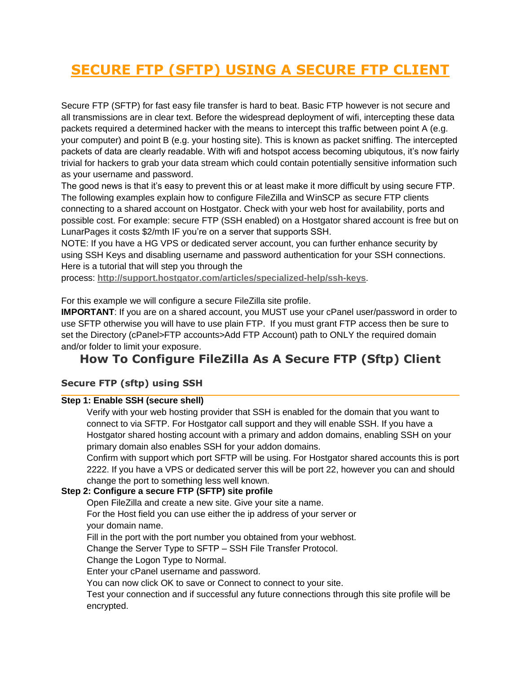# **[SECURE FTP \(SFTP\) USING A SECURE FTP CLIENT](http://brianalawayconsulting.com/website-security/secure-ftp-sftp-secure-ftp-client/)**

Secure FTP (SFTP) for fast easy file transfer is hard to beat. Basic FTP however is not secure and all transmissions are in clear text. Before the widespread deployment of wifi, intercepting these data packets required a determined hacker with the means to intercept this traffic between point A (e.g. your computer) and point B (e.g. your hosting site). This is known as packet sniffing. The intercepted packets of data are clearly readable. With wifi and hotspot access becoming ubiqutous, it's now fairly trivial for hackers to grab your data stream which could contain potentially sensitive information such as your username and password.

The good news is that it's easy to prevent this or at least make it more difficult by using secure FTP. The following examples explain how to configure FileZilla and WinSCP as secure FTP clients connecting to a shared account on Hostgator. Check with your web host for availability, ports and possible cost. For example: secure FTP (SSH enabled) on a Hostgator shared account is free but on LunarPages it costs \$2/mth IF you're on a server that supports SSH.

NOTE: If you have a HG VPS or dedicated server account, you can further enhance security by using SSH Keys and disabling username and password authentication for your SSH connections. Here is a tutorial that will step you through the

process: **<http://support.hostgator.com/articles/specialized-help/ssh-keys>**.

For this example we will configure a secure FileZilla site profile.

**IMPORTANT**: If you are on a shared account, you MUST use your cPanel user/password in order to use SFTP otherwise you will have to use plain FTP. If you must grant FTP access then be sure to set the Directory (cPanel>FTP accounts>Add FTP Account) path to ONLY the required domain and/or folder to limit your exposure.

## **How To Configure FileZilla As A Secure FTP (Sftp) Client**

### **Secure FTP (sftp) using SSH**

### **Step 1: Enable SSH (secure shell)**

Verify with your web hosting provider that SSH is enabled for the domain that you want to connect to via SFTP. For Hostgator call support and they will enable SSH. If you have a Hostgator shared hosting account with a primary and addon domains, enabling SSH on your primary domain also enables SSH for your addon domains.

Confirm with support which port SFTP will be using. For Hostgator shared accounts this is port 2222. If you have a VPS or dedicated server this will be port 22, however you can and should change the port to something less well known.

### **Step 2: Configure a secure FTP (SFTP) site profile**

Open FileZilla and create a new site. Give your site a name.

For the Host field you can use either the ip address of your server or your domain name.

Fill in the port with the port number you obtained from your webhost.

Change the Server Type to SFTP – SSH File Transfer Protocol.

Change the Logon Type to Normal.

Enter your cPanel username and password.

You can now click OK to save or Connect to connect to your site.

Test your connection and if successful any future connections through this site profile will be encrypted.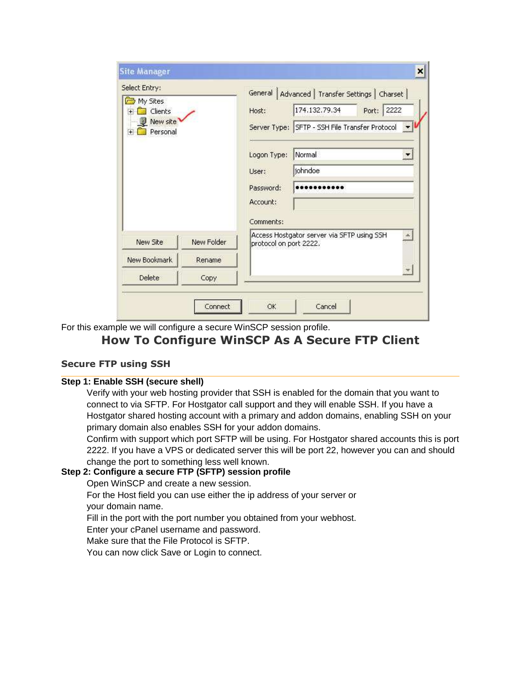| Select Entry:                                      |            | General   Advanced   Transfer Settings   Charset |                                                                               |  |  |
|----------------------------------------------------|------------|--------------------------------------------------|-------------------------------------------------------------------------------|--|--|
| My Sites<br>Clients<br>New site<br>Personal<br>$+$ |            | Host:                                            | 174.132.79.34<br>Port: 2222<br>Server Type: SFTP - SSH File Transfer Protocol |  |  |
|                                                    |            | Logon Type:<br>User:                             | Normal<br>johndoe                                                             |  |  |
|                                                    |            |                                                  |                                                                               |  |  |
| New Site                                           | New Folder |                                                  | Access Hostgator server via SFTP using SSH<br>protocol on port 2222.          |  |  |
| New Bookmark                                       | Rename     |                                                  |                                                                               |  |  |
| Delete                                             | Copy       |                                                  |                                                                               |  |  |

For this example we will configure a secure WinSCP session profile.

### **How To Configure WinSCP As A Secure FTP Client**

### **Secure FTP using SSH**

#### **Step 1: Enable SSH (secure shell)**

Verify with your web hosting provider that SSH is enabled for the domain that you want to connect to via SFTP. For Hostgator call support and they will enable SSH. If you have a Hostgator shared hosting account with a primary and addon domains, enabling SSH on your primary domain also enables SSH for your addon domains.

Confirm with support which port SFTP will be using. For Hostgator shared accounts this is port 2222. If you have a VPS or dedicated server this will be port 22, however you can and should change the port to something less well known.

### **Step 2: Configure a secure FTP (SFTP) session profile**

Open WinSCP and create a new session.

For the Host field you can use either the ip address of your server or your domain name.

Fill in the port with the port number you obtained from your webhost.

Enter your cPanel username and password.

Make sure that the File Protocol is SFTP.

You can now click Save or Login to connect.